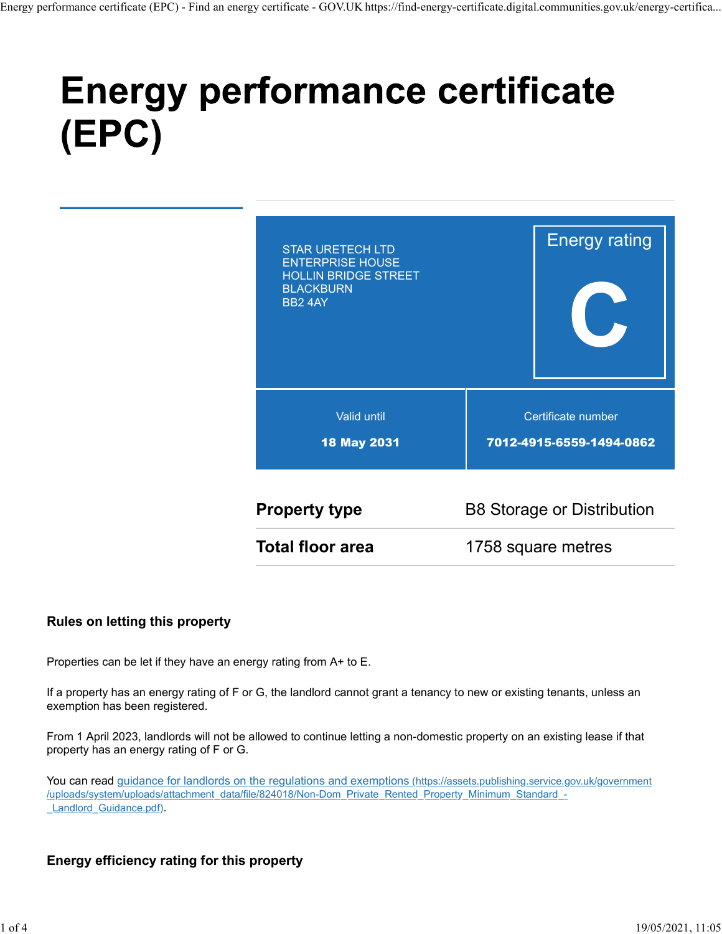# (EPC)



#### Rules on letting this property

Properties can be let if they have an energy rating from A+ to E.

If a property has an energy rating of F or G, the landlord cannot grant a tenancy to new or existing tenants, unless an exemption has been registered.

From 1 April 2023, landlords will not be allowed to continue letting a non-domestic property on an existing lease if that property has an energy rating of F or G.

You can read guidance for landlords on the regulations and exemptions (https://assets.publishing.service.gov.uk/government /uploads/system/uploads/attachment\_data/file/824018/Non-Dom\_Private\_Rented\_Property\_Minimum\_Standard\_- Landlord Guidance.pdf).

#### Energy efficiency rating for this property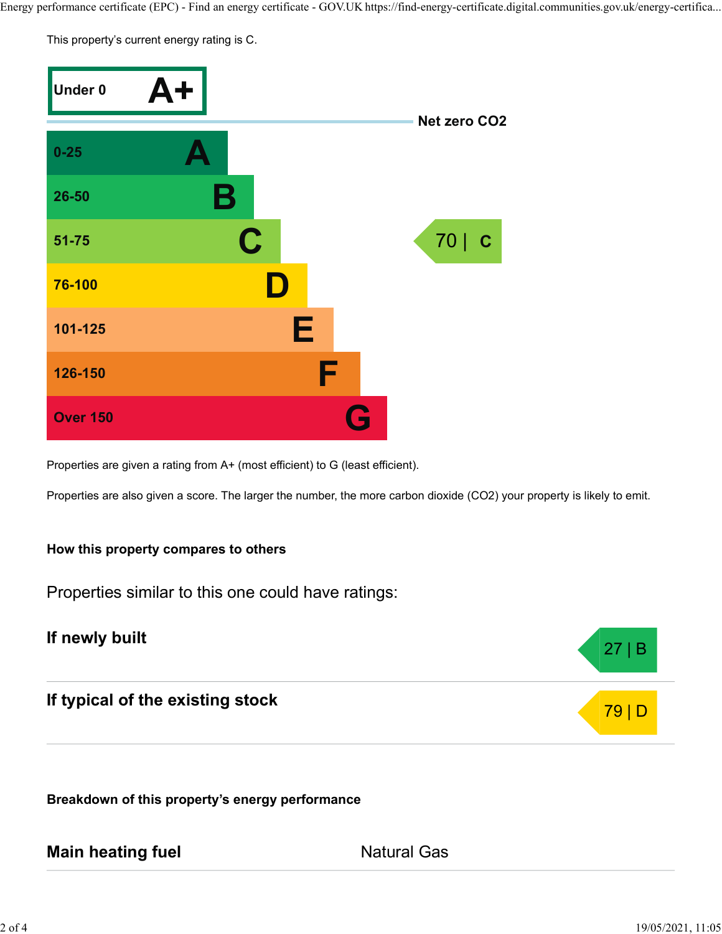This property's current energy rating is C.



Properties are given a rating from A+ (most efficient) to G (least efficient).

Properties are also given a score. The larger the number, the more carbon dioxide (CO2) your property is likely to emit.

#### How this property compares to others

Properties similar to this one could have ratings:

## If newly built

If typical of the existing stock

Breakdown of this property's energy performance

## Main heating fuel **Main Accord Ratural Gas**

27 | B

79 | D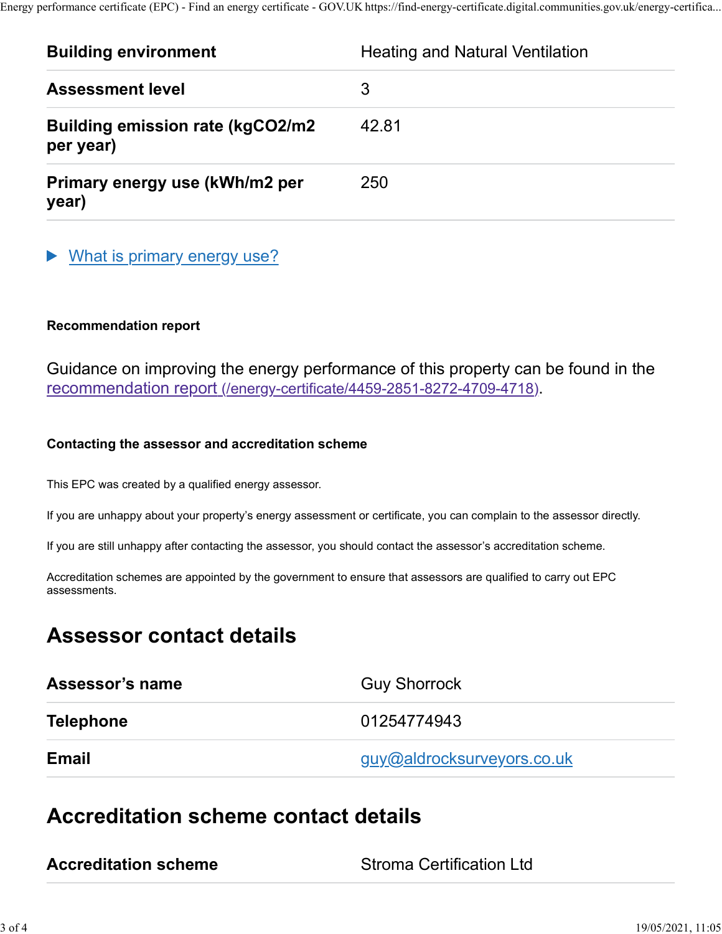|                                                      | Energy performance certificate (EPC) - Find an energy certificate - GOV.UK https://find-energy-certificate.digital.communities.gov.uk/energy-certifica |
|------------------------------------------------------|--------------------------------------------------------------------------------------------------------------------------------------------------------|
| <b>Building environment</b>                          | <b>Heating and Natural Ventilation</b>                                                                                                                 |
| <b>Assessment level</b>                              | 3                                                                                                                                                      |
| <b>Building emission rate (kgCO2/m2</b><br>per year) | 42.81                                                                                                                                                  |

## ▶ What is primary energy use?

#### Recommendation report

Guidance on improving the energy performance of this property can be found in the recommendation report (/energy-certificate/4459-2851-8272-4709-4718).

#### Contacting the assessor and accreditation scheme

This EPC was created by a qualified energy assessor.

If you are unhappy about your property's energy assessment or certificate, you can complain to the assessor directly.

If you are still unhappy after contacting the assessor, you should contact the assessor's accreditation scheme.

Accreditation schemes are appointed by the government to ensure that assessors are qualified to carry out EPC assessments.

# Assessor contact details

| Assessor's name  | <b>Guy Shorrock</b>        |
|------------------|----------------------------|
| <b>Telephone</b> | 01254774943                |
| <b>Email</b>     | guy@aldrocksurveyors.co.uk |

# Accreditation scheme contact details

**Stroma Certification Ltd**